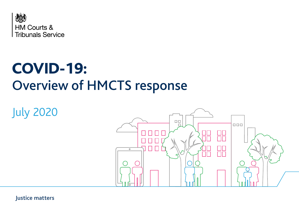

# COVID-19: Overview of HMCTS response

July 2020



**Justice matters**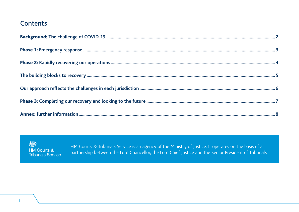#### **Contents**



HM Courts & Tribunals Service is an agency of the Ministry of Justice. It operates on the basis of a partnership between the Lord Chancellor, the Lord Chief Justice and the Senior President of Tribunals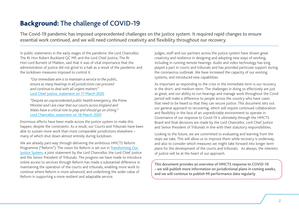#### <span id="page-2-0"></span>Background: The challenge of COVID-19

The Covid-19 pandemic has imposed unprecedented challenges on the justice system. It required rapid changes to ensure essential work continued, and we will need continued creativity and flexibility throughout our recovery.

In public statements in the early stages of the pandemic the Lord Chancellor, The Rt Hon Robert Buckland OC MP, and the Lord Chief Justice, The Rt Hon Lord Burnett of Maldon, said that it was of vital importance that the administration of justice did not grind to a halt as a result of the pandemic and the lockdown measures imposed to control it.

*"Our immediate aim is to maintain a service to the public, ensure as many hearings in all jurisdictions can proceed and continue to deal with all urgent matters"* [Lord Chief Justice, statement on 17 March 2020](https://www.judiciary.uk/announcements/coronavirus-update-from-the-lord-chief-justice/)

*"Despite an unprecedented public health emergency, the Prime Minister and I are clear that our courts across England and Wales have a critical role to play and should go on sitting."* [Lord Chancellor, statement on 18 March 2020](https://www.gov.uk/government/news/courts-during-coronavirus-pandemic-robert-buckland-statement)

Enormous efforts have been made across the justice system to make this happen, despite the constraints. As a result, our Courts and Tribunals have been able to sustain more work than most comparable jurisdictions elsewhere – many of which shut down almost entirely during lockdown.

We are already part-way through delivering the ambitious HMCTS Reform Programme ("Reform"). The vision for Reform is set out in [Transforming Our](https://assets.publishing.service.gov.uk/government/uploads/system/uploads/attachment_data/file/553261/joint-vision-statement.pdf)  [Justice System](https://assets.publishing.service.gov.uk/government/uploads/system/uploads/attachment_data/file/553261/joint-vision-statement.pdf), a joint statement by the Lord Chancellor, the Lord Chief Justice and the Senior President of Tribunals. The progress we have made to introduce online access to services through Reform has made a substantial difference in maintaining the operation of the courts and tribunals, enabling more work to continue where Reform is more advanced, and underlining the wider value of Reform in supporting a more resilient and adaptable service.

Judges, staff and our partners across the justice system have shown great creativity and resilience in designing and adopting new ways of working, including in running remote hearings. Audio and video technology has long played a part in courts and tribunals and has provided particular support during the coronavirus outbreak. We have increased the capacity of our existing systems, and introduced new capabilities.

As important as responding to the crisis in the immediate term is our recovery in the short- and medium-term. The challenges in doing so effectively are just as great, and our ability to run hearings and manage work throughout the Covid period will make a difference to people across the country who have cases that need to be heard so that they can secure justice. This document sets out our general approach to recovering, which will require continued collaboration and flexibility in the face of an unpredictable environment to operate in. Governance of our response to Covid-19 is ultimately through the HMCTS Board and final decisions are made by the Lord Chancellor, Lord Chief Justice and Senior President of Tribunals in line with their statutory responsibilities.

Looking to the future, we are committed to evaluating and learning from the steps we take. This will allow us to improve them while recovery is underway, and also to consider which measures we might take forward into longer term plans for the development of the courts and tribunals. As always, the interests of justice will lie at the heart of our approach.

This document provides an overview of HMCTS response to COVID-19 – we will publish more information on jurisdictional plans in coming weeks, and we will continue to publish MI performance data regularly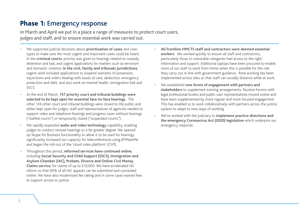#### <span id="page-3-0"></span>Phase 1: Emergency response

In March and April we put in a place a range of measures to protect court users, judges and staff, and to ensure essential work was carried out.

- We supported judicial decisions about **prioritisation of cases** and casetypes to make sure the most urgent and important cases could be heard. In the **criminal courts**, priority was given to hearings related to custody, detention and bail, and urgent applications for matters such as terrorism and domestic violence. **In the civil, family and tribunals jurisdictions**, urgent work included applications to suspend warrants of possession, injunctions and orders dealing with issues of care, abduction, emergency protection and debt, and also work on mental health, immigration bail and SSCS.
- At the end of March, **157 priority court and tribunal buildings were selected to be kept open for essential face-to-face hearings**. The other 124 other court and tribunal buildings were closed to the public and either kept open for judges, staff and representatives of agencies needed to support video and telephone hearings and progress cases without hearings ("staffed courts") or temporarily closed ("suspended courts").
- We rapidly expanded **audio and video technology** capability, enabling judges to conduct remote hearings to a far greater degree. We opened up Skype for Business functionality to allow it to be used for hearings, significantly increased our capacity for teleconferences using BTMeetMe and began the roll-out of the 'cloud video platform' (CVP).
- Throughout this period, **reformed services have continued online**, including **Social Security and Child Support (SSCS), Immigration and Asylum Chamber (IAC), Probate, Divorce and Online Civil Money Claims service**, for claims of up to £10,000. We have accelerated IAC reform so that 90% of all IAC appeals can be submitted and concluded online. We have also modernised fee taking and in some cases waived fees to support access to justice.
- **All frontline HMCTS staff and contractors were deemed essential workers**. We worked quickly to ensure all staff and contractors, particularly those in vulnerable categories had access to the right information and support. Additional laptops have been procured to enable more of our staff to work from home when this is possible for the role they carry out in line with government guidance. Rota working has been implemented across sites so that staff can socially distance while at work.
- We established **new forms of engagement with partners and stakeholders** to supplement existing arrangements. Routine forums with legal professional bodies and public user representatives moved online and have been supplemented by more regular and more focused engagement. This has enabled us to work collaboratively with partners across the justice system to adapt to new ways of working
- We've worked with the judiciary to **implement practice directions and the emergency Coronavirus Act (2020) legislation** which underpins our emergency response.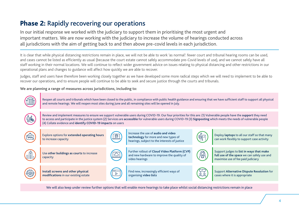### <span id="page-4-0"></span>Phase 2: Rapidly recovering our operations

In our initial response we worked with the judiciary to support them in prioritising the most urgent and important matters. We are now working with the judiciary to increase the volume of hearings conducted across all jurisdictions with the aim of getting back to and then above pre-covid levels in each jurisdiction.

It is clear that while physical distancing restrictions remain in place, we will not be able to work 'as normal': fewer court and tribunal hearing rooms can be used, and cases cannot be listed as efficiently as usual (because the court estate cannot safely accommodate pre-Covid levels of use), and we cannot safely have all staff working in their normal locations. We will continue to reflect wider government advice on issues relating to physical distancing and other restrictions in our operational plans and changes to guidance will affect how quickly we are able to recover.

Judges, staff and users have therefore been working closely together as we have developed some more radical steps which we will need to implement to be able to recover our operations, and to ensure people will continue to be able to seek and secure justice through the courts and tribunals.

**We are planning a range of measures across jurisdictions, including to:**



We will also keep under review further options that will enable more hearings to take place whilst social distancing restrictions remain in place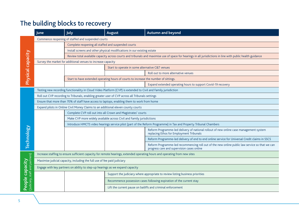## <span id="page-5-0"></span>The building blocks to recovery

|                                                       | June                                                                                                                       | <b>July</b>                                                                                                                                                 | <b>August</b>                                                                        | Autumn and beyond                                                                                                                            |  |  |
|-------------------------------------------------------|----------------------------------------------------------------------------------------------------------------------------|-------------------------------------------------------------------------------------------------------------------------------------------------------------|--------------------------------------------------------------------------------------|----------------------------------------------------------------------------------------------------------------------------------------------|--|--|
| <b>Physical capacity</b>                              | Commence reopening of staffed and suspended courts                                                                         |                                                                                                                                                             |                                                                                      |                                                                                                                                              |  |  |
|                                                       |                                                                                                                            | Complete reopening all staffed and suspended courts                                                                                                         |                                                                                      |                                                                                                                                              |  |  |
|                                                       |                                                                                                                            | Install screens and other physical modifications in our existing estate                                                                                     |                                                                                      |                                                                                                                                              |  |  |
|                                                       |                                                                                                                            | Review total available capacity across courts and tribunals and maximise use of space for hearings in all jurisdictions in line with public health guidance |                                                                                      |                                                                                                                                              |  |  |
|                                                       |                                                                                                                            | Survey the market for additional venues to increase capacity                                                                                                |                                                                                      |                                                                                                                                              |  |  |
|                                                       |                                                                                                                            |                                                                                                                                                             | Start to operate in some alternative C&T venues                                      |                                                                                                                                              |  |  |
|                                                       |                                                                                                                            |                                                                                                                                                             |                                                                                      | Roll out to more alternative venues                                                                                                          |  |  |
|                                                       |                                                                                                                            |                                                                                                                                                             | Start to have extended operating hours of courts to increase the number of sittings. |                                                                                                                                              |  |  |
|                                                       |                                                                                                                            |                                                                                                                                                             |                                                                                      | Expand extended operating hours to support Covid-19 recovery                                                                                 |  |  |
|                                                       | Testing new recording functionality in Cloud Video Platform (CVP) is extended to Civil and Family jurisdiction             |                                                                                                                                                             |                                                                                      |                                                                                                                                              |  |  |
|                                                       |                                                                                                                            | Roll out CVP recording to Tribunals, enabling greater user of CVP across all Tribunals settings                                                             |                                                                                      |                                                                                                                                              |  |  |
|                                                       | Ensure that more than 70% of staff have access to laptops, enabling them to work from home                                 |                                                                                                                                                             |                                                                                      |                                                                                                                                              |  |  |
|                                                       | Expand pilots in Online Civil Money Claims to an additional eleven county courts                                           |                                                                                                                                                             |                                                                                      |                                                                                                                                              |  |  |
| <b>Technology</b>                                     |                                                                                                                            | Complete CVP roll out into all Crown and Magistrates' courts                                                                                                |                                                                                      |                                                                                                                                              |  |  |
|                                                       |                                                                                                                            | Make CVP more widely available across Civil and Family jurisdictions                                                                                        |                                                                                      |                                                                                                                                              |  |  |
|                                                       |                                                                                                                            | Introduce HMCTS video hearings service pilot (part of the Reform Programme) in Tax and Property Tribunal Chambers                                           |                                                                                      |                                                                                                                                              |  |  |
|                                                       |                                                                                                                            |                                                                                                                                                             |                                                                                      | Reform Programme-led delivery of national rollout of new online case management system<br>replacing Ethos for Employment Tribunals           |  |  |
|                                                       |                                                                                                                            |                                                                                                                                                             |                                                                                      | Reform Programme-led delivery of end to end online service for Universal Credit claims in SSCS                                               |  |  |
|                                                       |                                                                                                                            |                                                                                                                                                             |                                                                                      | Reform Programme-led recommencing roll out of the new online public law service so that we can<br>progress care and supervision cases online |  |  |
| (Judiciary, staff and partners)<br>Capacity<br>People | Increase staffing to ensure sufficient capacity for remote hearings, extended operating hours and operating from new sites |                                                                                                                                                             |                                                                                      |                                                                                                                                              |  |  |
|                                                       | Maximise judicial capacity, including the full use of fee paid judiciary                                                   |                                                                                                                                                             |                                                                                      |                                                                                                                                              |  |  |
|                                                       |                                                                                                                            | Engage with key partners on ability to step-up hearings as we expand capacity                                                                               |                                                                                      |                                                                                                                                              |  |  |
|                                                       |                                                                                                                            |                                                                                                                                                             | Support the judiciary where appropriate to review listing business priorities        |                                                                                                                                              |  |  |
|                                                       |                                                                                                                            |                                                                                                                                                             | Recommence possession cases following expiration of the current stay                 |                                                                                                                                              |  |  |
|                                                       |                                                                                                                            |                                                                                                                                                             |                                                                                      | Lift the current pause on bailiffs and criminal enforcement                                                                                  |  |  |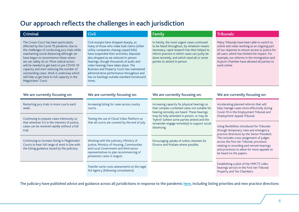#### <span id="page-6-0"></span>Our approach reflects the challenges in each jurisdiction

| <b>Criminal</b>                                                                                                                                                                                                                                                                                                                                                                                                                                                                      | <b>Civil</b>                                                                                                                                                                                                                                                                                                                                                                                                                                                 | Family                                                                                                                                                                                                                                                               | <b>Tribunals</b>                                                                                                                                                                                                                                                                                                                                       |
|--------------------------------------------------------------------------------------------------------------------------------------------------------------------------------------------------------------------------------------------------------------------------------------------------------------------------------------------------------------------------------------------------------------------------------------------------------------------------------------|--------------------------------------------------------------------------------------------------------------------------------------------------------------------------------------------------------------------------------------------------------------------------------------------------------------------------------------------------------------------------------------------------------------------------------------------------------------|----------------------------------------------------------------------------------------------------------------------------------------------------------------------------------------------------------------------------------------------------------------------|--------------------------------------------------------------------------------------------------------------------------------------------------------------------------------------------------------------------------------------------------------------------------------------------------------------------------------------------------------|
| The Crown Court has been particularly<br>affected by the Covid-19 pandemic due to<br>the challenges of conducting jury trials while<br>maintaining social distancing although we<br>have begun to recommence these where<br>we can safely do so. More radical action<br>will be needed to get back to pre COVID-19<br>capacity and start reducing the number of<br>outstanding cases. Work is underway which<br>will help us get back to full capacity in the<br>Magistrates' Court. | Civil receipts have dropped sharply, as<br>many of those who make bulk claims (often<br>utility companies chasing unpaid bills)<br>have suspended their activities; disposals<br>also dropped as we reduced in-person<br>hearings, though thousands of audio and<br>video hearings have taken place. The<br>Business and Property Court has maintained<br>administrative performance throughout and<br>has no backlogs outside standard turnaround<br>times. | In Family, the most urgent cases continued<br>to be heard throughout, by whatever means<br>necessary; rapid research has then helped to<br>inform practice in which cases can justly be<br>done remotely, and which need all or some<br>parties to attend in person. | Many Tribunals have been able to switch to<br>online and video working as an ongoing part<br>of our response to ensure access to justice for<br>all users, which has limited the impact. For<br>example, our reforms in the Immigration and<br>Asylum Chamber have allowed all parties to<br>work online.                                              |
| We are currently focusing on:                                                                                                                                                                                                                                                                                                                                                                                                                                                        | We are currently focusing on:                                                                                                                                                                                                                                                                                                                                                                                                                                | We are currently focusing on:                                                                                                                                                                                                                                        | We are currently focusing on:                                                                                                                                                                                                                                                                                                                          |
| Restarting jury trials in more courts each<br>week.                                                                                                                                                                                                                                                                                                                                                                                                                                  | Increasing listing for cases across county<br>courts.                                                                                                                                                                                                                                                                                                                                                                                                        | Increasing capacity for physical hearings so<br>that complex contested cases not suitable for<br>hearing remotely are heard. These hearings<br>may be fully attended in person, or may be                                                                            | Accelerating planned reforms that will<br>help manage cases more effectively during<br>Covid-19 in the Employment Tribunal and<br>Employment Appeal Tribunal.                                                                                                                                                                                          |
| Continuing to prepare cases intensively so<br>that wherever it's in the interests of justice,<br>cases can be resolved rapidly without a full<br>trial.                                                                                                                                                                                                                                                                                                                              | Testing the use of Cloud Video Platform so<br>that all courts are covered by the end of July.                                                                                                                                                                                                                                                                                                                                                                | 'hybrid' (where some parties attend and the<br>remainder engage remotely) to support social<br>distancing.                                                                                                                                                           | Using flexibilities introduced for Tribunals<br>through temporary rules and emergency<br>practice directions by the Senior President.<br>This includes cross-assignment of judges<br>across the first tier Tribunal, provisions<br>relating to recording and remote hearings<br>and provisions to allow for more appeals to<br>be heard on the papers. |
| Continuing to increase listing in Magistrates'<br>Courts to hear full range of work in line with<br>the listing guidance issued by the judiciary.                                                                                                                                                                                                                                                                                                                                    | Working with the judiciary, Ministry of<br>Justice, Ministry of Housing, Communities<br>and Local Government and third sector<br>representatives to plan recommencing of<br>possession cases in August.                                                                                                                                                                                                                                                      | Encouraging uptake of online channels for<br>Divorce and Probate where possible.                                                                                                                                                                                     |                                                                                                                                                                                                                                                                                                                                                        |
|                                                                                                                                                                                                                                                                                                                                                                                                                                                                                      | Transfer some costs assessments to the Legal<br>Aid Agency (following consultation).                                                                                                                                                                                                                                                                                                                                                                         |                                                                                                                                                                                                                                                                      | Establishing a pilot of the HMCTS video<br>hearings service in the First tier Tribunal<br>Property and Tax Chambers.                                                                                                                                                                                                                                   |

The judiciary have published advice and guidance across all jurisdictions in response to the pandemic [here,](https://www.judiciary.uk/coronavirus-covid-19-advice-and-guidance) including listing priorities and new practice directions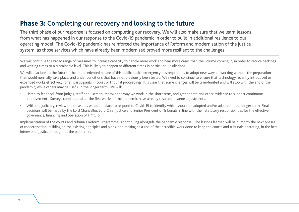#### <span id="page-7-0"></span>Phase 3: Completing our recovery and looking to the future

The third phase of our response is focused on completing our recovery. We will also make sure that we learn lessons from what has happened in our response to the Covid-19 pandemic in order to build in additional resilience to our operating model. The Covid-19 pandemic has reinforced the importance of Reform and modernisation of the justice system, as those services which have already been modernised proved more resilient to the challenges.

We will continue the broad range of measures to increase capacity to handle more work and hear more cases than the volume coming in, in order to reduce backlogs and waiting times to a sustainable level. This is likely to happen at different times in particular jurisdictions.

We will also look to the future - the unprecedented nature of this public health emergency has required us to adopt new ways of working without the preparation that would normally take place, and under conditions that have not previously been tested. We need to continue to ensure that technology recently introduced or expanded works effectively for all participants in court or tribunal proceedings. It is clear that some changes will be time-limited and will stop with the end of the pandemic, while others may be useful in the longer term. We will:

- Listen to feedback from judges, staff and users to improve the way we work in the short term, and gather data and other evidence to support continuous improvement. Surveys conducted after the first weeks of the pandemic have already resulted in some adjustments.
- With the judiciary, review the measures we put in place to respond to Covid-19 to identify which should be adopted and/or adapted in the longer-term. Final decisions will be made by the Lord Chancellor, Lord Chief Justice and Senior President of Tribunals in line with their statutory responsibilities for the effective governance, financing and operation of HMCTS.

Implementation of the courts and tribunals Reform Programme is continuing alongside the pandemic response. The lessons learned will help inform the next phases of modernisation, building on the existing principles and plans, and making best use of the incredible work done to keep the courts and tribunals operating, in the best interests of justice, throughout the pandemic.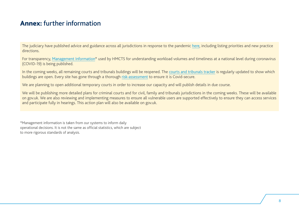#### <span id="page-8-0"></span>Annex: further information

The judiciary have published advice and guidance across all jurisdictions in response to the pandemic [here,](https://www.judiciary.uk/coronavirus-covid-19-advice-and-guidance/) including listing priorities and new practice directions.

For transparency, [Management Information\\*](https://www.gov.uk/government/statistical-data-sets/hmcts-weekly-management-information-during-coronavirus-march-to-may-2020) used by HMCTS for understanding workload volumes and timeliness at a national level during coronavirus (COVID-19) is being published.

In the coming weeks, all remaining courts and tribunals buildings will be reopened. The [courts and tribunals tracker](https://www.gov.uk/guidance/courts-and-tribunals-tracker-list-during-coronavirus-outbreak) is regularly updated to show which buildings are open. Every site has gone through a thorough [risk-assessment](https://www.gov.uk/guidance/coronavirus-covid-19-courts-and-tribunals-planning-and-preparation#assessing-and-managing-coronavirus-risk) to ensure it is Covid-secure.

We are planning to open additional temporary courts in order to increase our capacity and will publish details in due course.

We will be publishing more detailed plans for criminal courts and for civil, family and tribunals jurisdictions in the coming weeks. These will be available on gov.uk. We are also reviewing and implementing measures to ensure all vulnerable users are supported effectively to ensure they can access services and participate fully in hearings. This action plan will also be available on gov.uk.

\*Management information is taken from our systems to inform daily operational decisions. It is not the same as official statistics, which are subject to more rigorous standards of analysis.